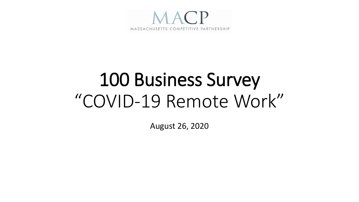

# 100 Business Survey "COVID-19 Remote Work"

August 26, 2020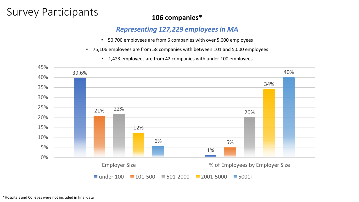### Survey Participants **106 companies\***

#### *Representing 127,229 employees in MA*

- 50,700 employees are from 6 companies with over 5,000 employees
- 75,106 employees are from 58 companies with between 101 and 5,000 employees
	- 1,423 employees are from 42 companies with under 100 employees

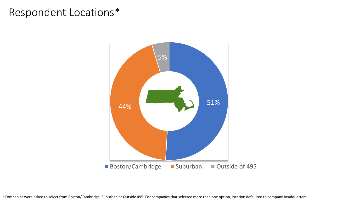#### Respondent Locations\*



\*Companies were asked to select from Boston/Cambridge, Suburban or Outside 495. For companies that selected more than one option, location defaulted to company headquarters.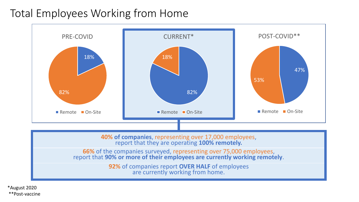#### Total Employees Working from Home



report that **90% or more of their employees are currently working remotely**.

**92%** of companies report **OVER HALF** of employees are currently working from home.

\*August 2020 \*\*Post-vaccine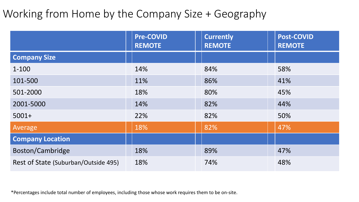### Working from Home by the Company Size + Geography

|                                      | <b>Pre-COVID</b><br><b>REMOTE</b> | <b>Currently</b><br><b>REMOTE</b> | <b>Post-COVID</b><br><b>REMOTE</b> |
|--------------------------------------|-----------------------------------|-----------------------------------|------------------------------------|
| <b>Company Size</b>                  |                                   |                                   |                                    |
| $1 - 100$                            | 14%                               | 84%                               | 58%                                |
| 101-500                              | 11%                               | 86%                               | 41%                                |
| 501-2000                             | 18%                               | 80%                               | 45%                                |
| 2001-5000                            | 14%                               | 82%                               | 44%                                |
| $5001+$                              | 22%                               | 82%                               | 50%                                |
| Average                              | 18%                               | 82%                               | 47%                                |
| <b>Company Location</b>              |                                   |                                   |                                    |
| Boston/Cambridge                     | 18%                               | 89%                               | 47%                                |
| Rest of State (Suburban/Outside 495) | 18%                               | 74%                               | 48%                                |

\*Percentages include total number of employees, including those whose work requires them to be on-site.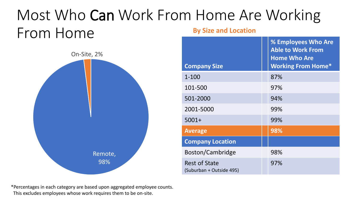#### Most Who Can Work From Home Are Working From Home **By Size and Location**



| <b>Company Size</b>                              | % Employees Who Are<br><b>Able to Work From</b><br><b>Home Who Are</b><br><b>Working From Home*</b> |
|--------------------------------------------------|-----------------------------------------------------------------------------------------------------|
| $1 - 100$                                        | 87%                                                                                                 |
| 101-500                                          | 97%                                                                                                 |
| 501-2000                                         | 94%                                                                                                 |
| 2001-5000                                        | 99%                                                                                                 |
| $5001+$                                          | 99%                                                                                                 |
| <b>Average</b>                                   | 98%                                                                                                 |
| <b>Company Location</b>                          |                                                                                                     |
| Boston/Cambridge                                 | 98%                                                                                                 |
| <b>Rest of State</b><br>(Suburban + Outside 495) | 97%                                                                                                 |
|                                                  |                                                                                                     |

\*Percentages in each category are based upon aggregated employee counts. This excludes employees whose work requires them to be on-site.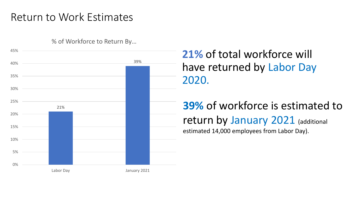#### Return to Work Estimates

% of Workforce to Return By…



**21%** of total workforce will have returned by Labor Day 2020.

#### **39%** of workforce is estimated to return by January 2021 (additional estimated 14,000 employees from Labor Day).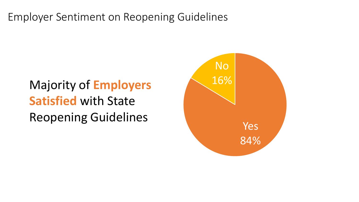Employer Sentiment on Reopening Guidelines

# Majority of **Employers** 26% **Satisfied** with State Reopening Guidelines

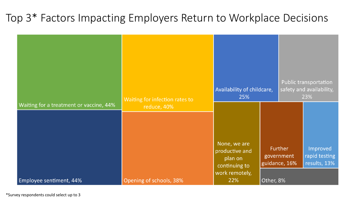#### Top 3\* Factors Impacting Employers Return to Workplace Decisions

|                                         | Waiting for infection rates to | Availability of childcare,<br>25%                 |                                          | Public transportation<br>safety and availability,<br>23% |                               |  |  |
|-----------------------------------------|--------------------------------|---------------------------------------------------|------------------------------------------|----------------------------------------------------------|-------------------------------|--|--|
| Waiting for a treatment or vaccine, 44% | reduce, 40%                    | None, we are<br>productive and                    |                                          | Further                                                  | Improved                      |  |  |
| Employee sentiment, 44%                 | Opening of schools, 38%        | plan on<br>continuing to<br>work remotely,<br>22% | government<br>guidance, 16%<br>Other, 8% |                                                          | rapid testing<br>results, 13% |  |  |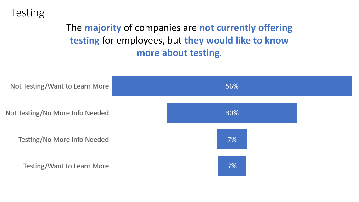#### **Testing**

#### The **majority** of companies are **not currently offering testing** for employees, but **they would like to know more about testing**.

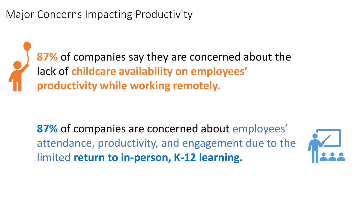Major Concerns Impacting Productivity

**87%** of companies say they are concerned about the lack of **childcare availability on employees' productivity while working remotely.**

**87%** of companies are concerned about employees' attendance, productivity, and engagement due to the limited **return to in-person, K-12 learning.**

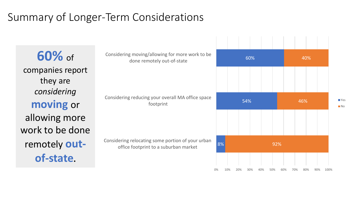### Summary of Longer-Term Considerations

**60%** of companies report they are *considering* **moving** or allowing more work to be done remotely **outof-state.** 

| Considering moving/allowing for more work to be<br>done remotely out-of-state              |          | 60% |     |     |     |            |     | 40% |     |     |      |
|--------------------------------------------------------------------------------------------|----------|-----|-----|-----|-----|------------|-----|-----|-----|-----|------|
| Considering reducing your overall MA office space                                          |          |     |     | 54% |     |            |     |     | 46% |     |      |
| footprint                                                                                  |          |     |     |     |     |            |     |     |     |     |      |
| Considering relocating some portion of your urban<br>office footprint to a suburban market | 8%<br>0% | 10% | 20% | 30% | 40% | 92%<br>50% | 60% | 70% | 80% | 90% | 100% |

 $1 - 1 - 1 - 1 - 1 - 1 - 1 - 1 - 1 - 1$ 

**TYes ■** No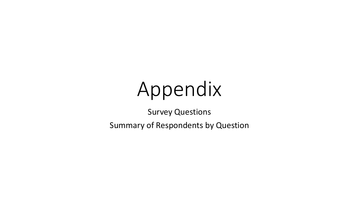# Appendix

Survey Questions

Summary of Respondents by Question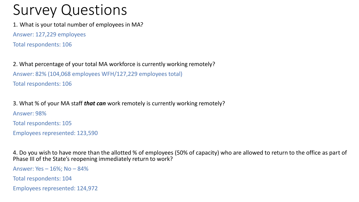1. What is your total number of employees in MA?

Answer: 127,229 employees

Total respondents: 106

2. What percentage of your total MA workforce is currently working remotely? Answer: 82% (104,068 employees WFH/127,229 employees total) Total respondents: 106

3. What % of your MA staff *that can* work remotely is currently working remotely? Answer: 98% Total respondents: 105 Employees represented: 123,590

4. Do you wish to have more than the allotted % of employees (50% of capacity) who are allowed to return to the office as part of Phase III of the State's reopening immediately return to work?

Answer: Yes – 16%; No – 84% Total respondents: 104 Employees represented: 124,972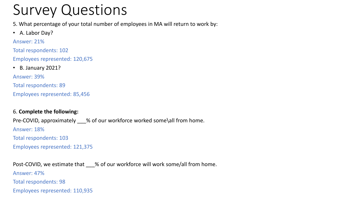5. What percentage of your total number of employees in MA will return to work by:

• A. Labor Day?

Answer: 21%

Total respondents: 102

Employees represented: 120,675

• B. January 2021?

Answer: 39%

Total respondents: 89

Employees represented: 85,456

#### 6. **Complete the following:**

Pre-COVID, approximately % of our workforce worked some\all from home. Answer: 18% Total respondents: 103 Employees represented: 121,375

Post-COVID, we estimate that % of our workforce will work some/all from home. Answer: 47% Total respondents: 98 Employees represented: 110,935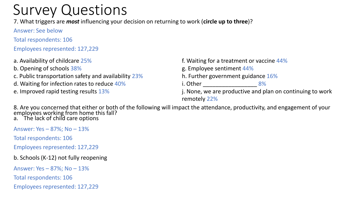7. What triggers are *most* influencing your decision on returning to work (**circle up to three**)?

Answer: See below

Total respondents: 106

Employees represented: 127,229

a. Availability of childcare 25%

b. Opening of schools 38%

c. Public transportation safety and availability 23%

d. Waiting for infection rates to reduce 40%

e. Improved rapid testing results 13%

f. Waiting for a treatment or vaccine 44% g. Employee sentiment 44% h. Further government guidance 16% i. Other \_\_\_\_\_\_\_\_\_\_\_\_\_\_\_\_\_ 8% j. None, we are productive and plan on continuing to work remotely 22%

8. Are you concerned that either or both of the following will impact the attendance, productivity, and engagement of your employees working from home this fall? a. The lack of child care options

Answer: Yes – 87%; No – 13%

Total respondents: 106

Employees represented: 127,229

b. Schools (K-12) not fully reopening

Answer: Yes – 87%; No – 13%

Total respondents: 106

Employees represented: 127,229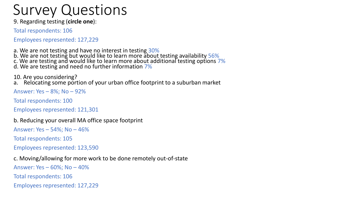9. Regarding testing (**circle one**):

Total respondents: 106

Employees represented: 127,229

a. We are not testing and have no interest in testing 30% b. We are not testing but would like to learn more about testing availability 56% c. We are testing and would like to learn more about additional testing options 7% d. We are testing and need no further information 7%

10. Are you considering?

a. Relocating some portion of your urban office footprint to a suburban market

Answer: Yes – 8%; No – 92%

Total respondents: 100

Employees represented: 121,301

b. Reducing your overall MA office space footprint

Answer: Yes – 54%; No – 46%

Total respondents: 105

Employees represented: 123,590

c. Moving/allowing for more work to be done remotely out-of-state

Answer: Yes – 60%; No – 40% Total respondents: 106 Employees represented: 127,229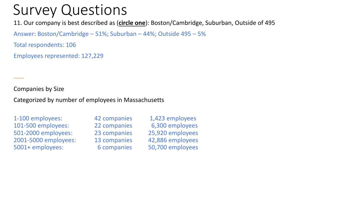11. Our company is best described as (**circle one**): Boston/Cambridge, Suburban, Outside of 495

Answer: Boston/Cambridge – 51%; Suburban – 44%; Outside 495 – 5%

Total respondents: 106

Employees represented: 127,229

Companies by Size

-----

Categorized by number of employees in Massachusetts

1-100 employees: 42 companies 1,423 employees 101-500 employees: 22 companies 6,300 employees 501-2000 employees: 23 companies 25,920 employees 2001-5000 employees: 13 companies 42,886 employees 5001+ employees: 6 companies 50,700 employees